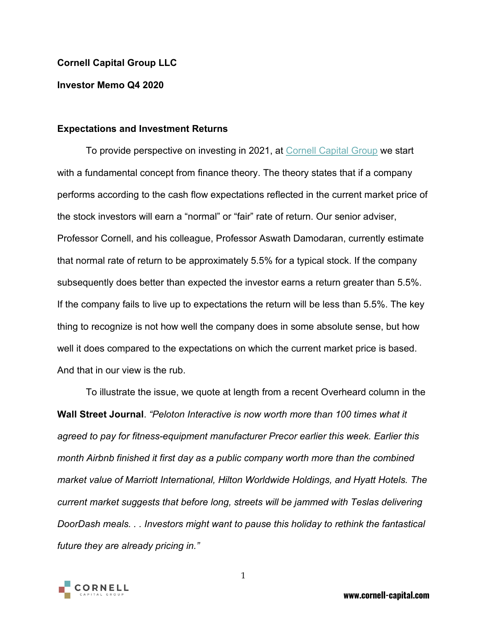## **Cornell Capital Group LLC**

### **Investor Memo Q4 2020**

#### **Expectations and Investment Returns**

To provide perspective on investing in 2021, at [Cornell Capital Group](http://www.cornell-capital.com/) we start with a fundamental concept from finance theory. The theory states that if a company performs according to the cash flow expectations reflected in the current market price of the stock investors will earn a "normal" or "fair" rate of return. Our senior adviser, Professor Cornell, and his colleague, Professor Aswath Damodaran, currently estimate that normal rate of return to be approximately 5.5% for a typical stock. If the company subsequently does better than expected the investor earns a return greater than 5.5%. If the company fails to live up to expectations the return will be less than 5.5%. The key thing to recognize is not how well the company does in some absolute sense, but how well it does compared to the expectations on which the current market price is based. And that in our view is the rub.

To illustrate the issue, we quote at length from a recent Overheard column in the **Wall Street Journal**. *"Peloton Interactive is now worth more than 100 times what it agreed to pay for fitness-equipment manufacturer Precor earlier this week. Earlier this month Airbnb finished it first day as a public company worth more than the combined market value of Marriott International, Hilton Worldwide Holdings, and Hyatt Hotels. The current market suggests that before long, streets will be jammed with Teslas delivering DoorDash meals. . . Investors might want to pause this holiday to rethink the fantastical future they are already pricing in."*

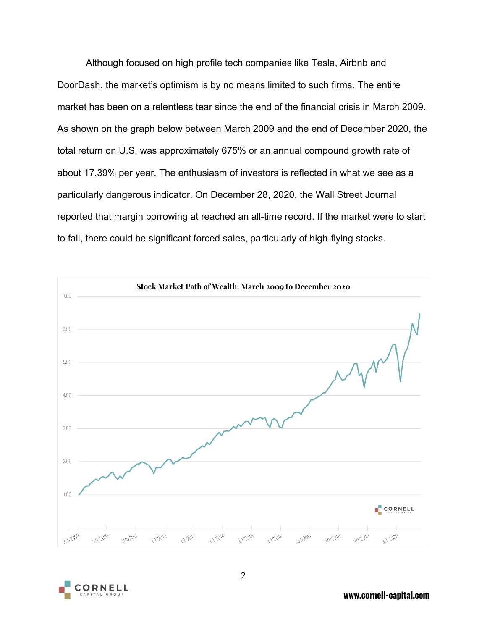Although focused on high profile tech companies like Tesla, Airbnb and DoorDash, the market's optimism is by no means limited to such firms. The entire market has been on a relentless tear since the end of the financial crisis in March 2009. As shown on the graph below between March 2009 and the end of December 2020, the total return on U.S. was approximately 675% or an annual compound growth rate of about 17.39% per year. The enthusiasm of investors is reflected in what we see as a particularly dangerous indicator. On December 28, 2020, the Wall Street Journal reported that margin borrowing at reached an all-time record. If the market were to start to fall, there could be significant forced sales, particularly of high-flying stocks.



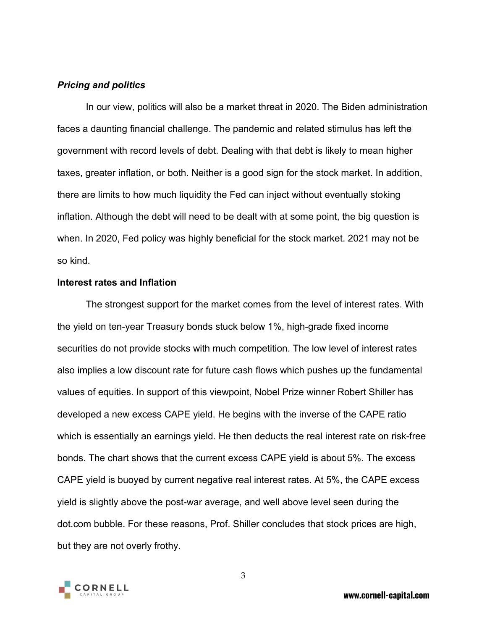### *Pricing and politics*

In our view, politics will also be a market threat in 2020. The Biden administration faces a daunting financial challenge. The pandemic and related stimulus has left the government with record levels of debt. Dealing with that debt is likely to mean higher taxes, greater inflation, or both. Neither is a good sign for the stock market. In addition, there are limits to how much liquidity the Fed can inject without eventually stoking inflation. Although the debt will need to be dealt with at some point, the big question is when. In 2020, Fed policy was highly beneficial for the stock market. 2021 may not be so kind.

#### **Interest rates and Inflation**

The strongest support for the market comes from the level of interest rates. With the yield on ten-year Treasury bonds stuck below 1%, high-grade fixed income securities do not provide stocks with much competition. The low level of interest rates also implies a low discount rate for future cash flows which pushes up the fundamental values of equities. In support of this viewpoint, Nobel Prize winner Robert Shiller has developed a new excess CAPE yield. He begins with the inverse of the CAPE ratio which is essentially an earnings yield. He then deducts the real interest rate on risk-free bonds. The chart shows that the current excess CAPE yield is about 5%. The excess CAPE yield is buoyed by current negative real interest rates. At 5%, the CAPE excess yield is slightly above the post-war average, and well above level seen during the dot.com bubble. For these reasons, Prof. Shiller concludes that stock prices are high, but they are not overly frothy.

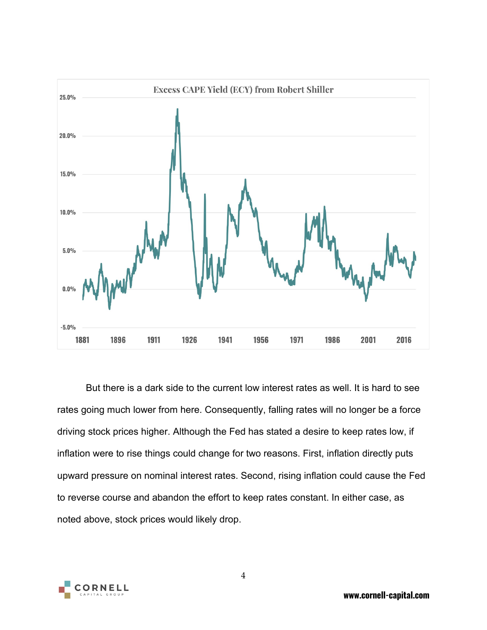

But there is a dark side to the current low interest rates as well. It is hard to see rates going much lower from here. Consequently, falling rates will no longer be a force driving stock prices higher. Although the Fed has stated a desire to keep rates low, if inflation were to rise things could change for two reasons. First, inflation directly puts upward pressure on nominal interest rates. Second, rising inflation could cause the Fed to reverse course and abandon the effort to keep rates constant. In either case, as noted above, stock prices would likely drop.

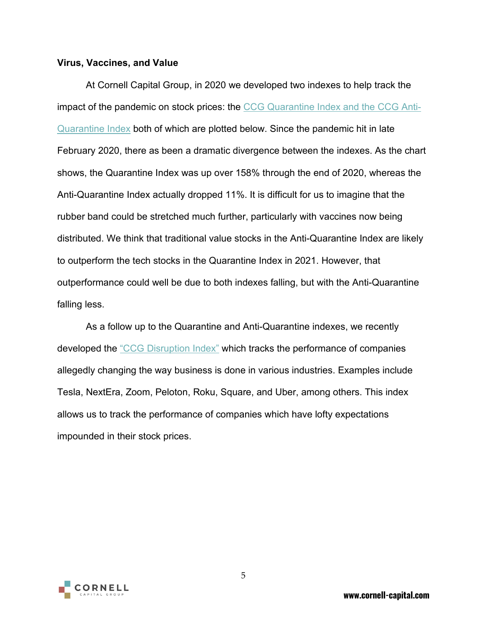### **Virus, Vaccines, and Value**

At Cornell Capital Group, in 2020 we developed two indexes to help track the impact of the pandemic on stock prices: the [CCG Quarantine Index](https://www.cornell-capital.com/quarantine-indexes) and the CCG Anti-[Quarantine Index](https://www.cornell-capital.com/quarantine-indexes) both of which are plotted below. Since the pandemic hit in late February 2020, there as been a dramatic divergence between the indexes. As the chart shows, the Quarantine Index was up over 158% through the end of 2020, whereas the Anti-Quarantine Index actually dropped 11%. It is difficult for us to imagine that the rubber band could be stretched much further, particularly with vaccines now being distributed. We think that traditional value stocks in the Anti-Quarantine Index are likely to outperform the tech stocks in the Quarantine Index in 2021. However, that outperformance could well be due to both indexes falling, but with the Anti-Quarantine falling less.

As a follow up to the Quarantine and Anti-Quarantine indexes, we recently developed the ["CCG Disruption Index"](https://www.cornell-capital.com/blog/2020/12/the-ccg-disruption-index.html) which tracks the performance of companies allegedly changing the way business is done in various industries. Examples include Tesla, NextEra, Zoom, Peloton, Roku, Square, and Uber, among others. This index allows us to track the performance of companies which have lofty expectations impounded in their stock prices.

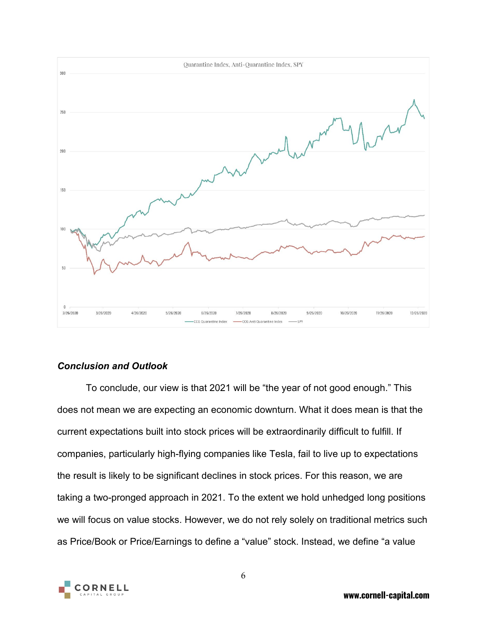

# *Conclusion and Outlook*

To conclude, our view is that 2021 will be "the year of not good enough." This does not mean we are expecting an economic downturn. What it does mean is that the current expectations built into stock prices will be extraordinarily difficult to fulfill. If companies, particularly high-flying companies like Tesla, fail to live up to expectations the result is likely to be significant declines in stock prices. For this reason, we are taking a two-pronged approach in 2021. To the extent we hold unhedged long positions we will focus on value stocks. However, we do not rely solely on traditional metrics such as Price/Book or Price/Earnings to define a "value" stock. Instead, we define "a value